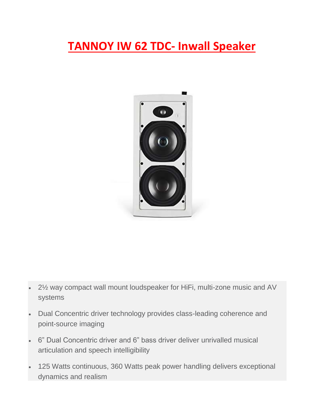## **TANNOY IW 62 TDC- Inwall Speaker**



- 2½ way compact wall mount loudspeaker for HiFi, multi-zone music and AV systems
- Dual Concentric driver technology provides class-leading coherence and point-source imaging
- 6" Dual Concentric driver and 6" bass driver deliver unrivalled musical articulation and speech intelligibility
- 125 Watts continuous, 360 Watts peak power handling delivers exceptional dynamics and realism